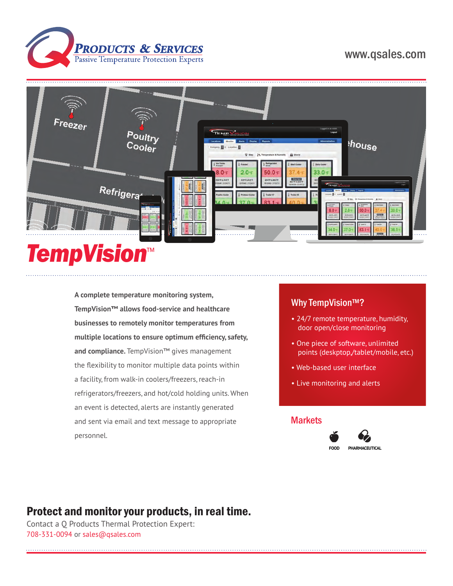

# www.qsales.com



# *TempVision*™

**A complete temperature monitoring system, TempVision™ allows food-service and healthcare businesses to remotely monitor temperatures from multiple locations to ensure optimum efficiency, safety, and compliance.** TempVision™ gives management the flexibility to monitor multiple data points within a facility, from walk-in coolers/freezers, reach-in refrigerators/freezers, and hot/cold holding units. When an event is detected, alerts are instantly generated and sent via email and text message to appropriate personnel.

### Why TempVision<sup>™?</sup>

- 24/7 remote temperature, humidity, door open/close monitoring
- One piece of software, unlimited points (deskptop,/tablet/mobile, etc.)
- Web-based user interface
- Live monitoring and alerts

#### **Markets**



# Protect and monitor your products, in real time.

Contact a Q Products Thermal Protection Expert: 708-331-0094 or sales@qsales.com